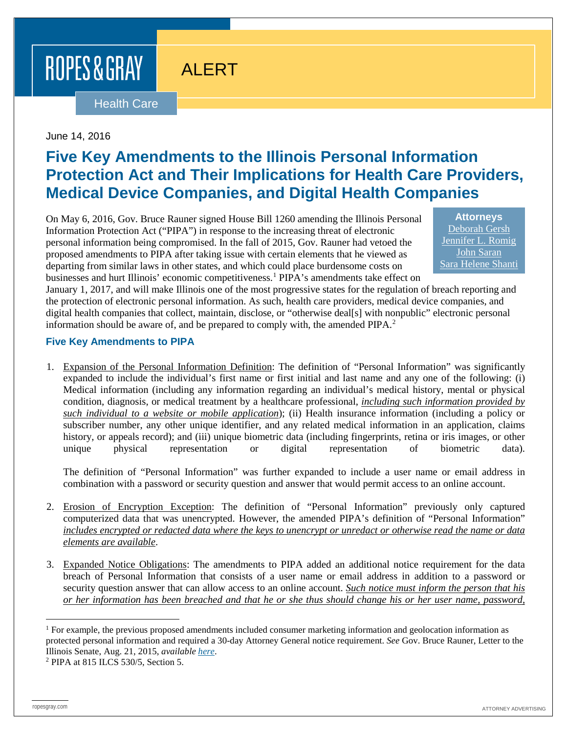ROPES & GRAY

# ALERT

### **Health Care**

#### June 14, 2016

## **Five Key Amendments to the Illinois Personal Information Protection Act and Their Implications for Health Care Providers, Medical Device Companies, and Digital Health Companies**

On May 6, 2016, Gov. Bruce Rauner signed House Bill 1260 amending the Illinois Personal Information Protection Act ("PIPA") in response to the increasing threat of electronic personal information being compromised. In the fall of 2015, Gov. Rauner had vetoed the proposed amendments to PIPA after taking issue with certain elements that he viewed as departing from similar laws in other states, and which could place burdensome costs on businesses and hurt Illinois' economic competitiveness.[1](#page-0-0) PIPA's amendments take effect on

**Attorneys** [Deborah Gersh](https://www.ropesgray.com/biographies/g/deborah-gersh.aspx) [Jennifer L. Romig](https://www.ropesgray.com/biographies/r/jennifer-l-romig.aspx) [John Saran](https://www.ropesgray.com/biographies/s/john-saran.aspx) [Sara Helene Shanti](https://www.ropesgray.com/biographies/s/sara-shanti.aspx)

January 1, 2017, and will make Illinois one of the most progressive states for the regulation of breach reporting and the protection of electronic personal information. As such, health care providers, medical device companies, and digital health companies that collect, maintain, disclose, or "otherwise deal[s] with nonpublic" electronic personal information should be aware of, and be prepared to comply with, the amended  $PIPA<sup>2</sup>$  $PIPA<sup>2</sup>$  $PIPA<sup>2</sup>$ .

#### **Five Key Amendments to PIPA**

1. Expansion of the Personal Information Definition: The definition of "Personal Information" was significantly expanded to include the individual's first name or first initial and last name and any one of the following: (i) Medical information (including any information regarding an individual's medical history, mental or physical condition, diagnosis, or medical treatment by a healthcare professional, *including such information provided by such individual to a website or mobile application*); (ii) Health insurance information (including a policy or subscriber number, any other unique identifier, and any related medical information in an application, claims history, or appeals record); and (iii) unique biometric data (including fingerprints, retina or iris images, or other unique physical representation or digital representation of biometric data).

The definition of "Personal Information" was further expanded to include a user name or email address in combination with a password or security question and answer that would permit access to an online account.

- 2. Erosion of Encryption Exception: The definition of "Personal Information" previously only captured computerized data that was unencrypted. However, the amended PIPA's definition of "Personal Information" *includes encrypted or redacted data where the keys to unencrypt or unredact or otherwise read the name or data elements are available*.
- 3. Expanded Notice Obligations: The amendments to PIPA added an additional notice requirement for the data breach of Personal Information that consists of a user name or email address in addition to a password or security question answer that can allow access to an online account. *Such notice must inform the person that his or her information has been breached and that he or she thus should change his or her user name, password,*

<span id="page-0-0"></span><sup>&</sup>lt;sup>1</sup> For example, the previous proposed amendments included consumer marketing information and geolocation information as protected personal information and required a 30-day Attorney General notice requirement. *See* Gov. Bruce Rauner, Letter to the Illinois Senate, Aug. 21, 2015, *available here*[.](http://www.ilga.gov/legislation/fulltext.asp?DocName=09900SB1833gms&GA=99&LegID=88670&SessionId=88&SpecSess=0&DocTypeId=SB&DocNum=1833&GAID=13&Session) 2 PIPA at 815 ILCS 530/5, Section 5.

<span id="page-0-1"></span>